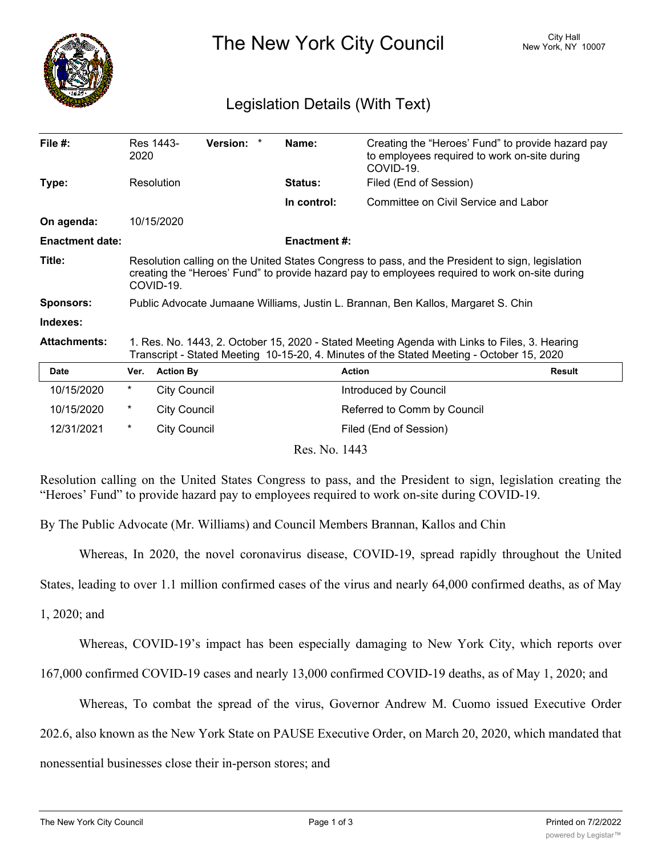

The New York City Council New York, NY 10007

## Legislation Details (With Text)

| File #:                | 2020                                                                                                                                                                                                            | Res 1443-           | Version: * |  | Name:               | Creating the "Heroes' Fund" to provide hazard pay<br>to employees required to work on-site during<br>COVID-19. |               |
|------------------------|-----------------------------------------------------------------------------------------------------------------------------------------------------------------------------------------------------------------|---------------------|------------|--|---------------------|----------------------------------------------------------------------------------------------------------------|---------------|
| Type:                  |                                                                                                                                                                                                                 | Resolution          |            |  | Status:             | Filed (End of Session)                                                                                         |               |
|                        |                                                                                                                                                                                                                 |                     |            |  | In control:         | Committee on Civil Service and Labor                                                                           |               |
| On agenda:             |                                                                                                                                                                                                                 | 10/15/2020          |            |  |                     |                                                                                                                |               |
| <b>Enactment date:</b> |                                                                                                                                                                                                                 |                     |            |  | <b>Enactment #:</b> |                                                                                                                |               |
| Title:                 | Resolution calling on the United States Congress to pass, and the President to sign, legislation<br>creating the "Heroes' Fund" to provide hazard pay to employees required to work on-site during<br>COVID-19. |                     |            |  |                     |                                                                                                                |               |
| <b>Sponsors:</b>       | Public Advocate Jumaane Williams, Justin L. Brannan, Ben Kallos, Margaret S. Chin                                                                                                                               |                     |            |  |                     |                                                                                                                |               |
| Indexes:               |                                                                                                                                                                                                                 |                     |            |  |                     |                                                                                                                |               |
| <b>Attachments:</b>    | 1. Res. No. 1443, 2. October 15, 2020 - Stated Meeting Agenda with Links to Files, 3. Hearing<br>Transcript - Stated Meeting 10-15-20, 4. Minutes of the Stated Meeting - October 15, 2020                      |                     |            |  |                     |                                                                                                                |               |
| <b>Date</b>            | Ver.                                                                                                                                                                                                            | <b>Action By</b>    |            |  |                     | <b>Action</b>                                                                                                  | <b>Result</b> |
| 10/15/2020             | *                                                                                                                                                                                                               | <b>City Council</b> |            |  |                     | Introduced by Council                                                                                          |               |
| 10/15/2020             | $^\star$                                                                                                                                                                                                        | <b>City Council</b> |            |  |                     | Referred to Comm by Council                                                                                    |               |
| 12/31/2021             | $\ast$                                                                                                                                                                                                          | <b>City Council</b> |            |  |                     | Filed (End of Session)                                                                                         |               |
| Res. No. 1443          |                                                                                                                                                                                                                 |                     |            |  |                     |                                                                                                                |               |

Resolution calling on the United States Congress to pass, and the President to sign, legislation creating the "Heroes' Fund" to provide hazard pay to employees required to work on-site during COVID-19.

By The Public Advocate (Mr. Williams) and Council Members Brannan, Kallos and Chin

Whereas, In 2020, the novel coronavirus disease, COVID-19, spread rapidly throughout the United

States, leading to over 1.1 million confirmed cases of the virus and nearly 64,000 confirmed deaths, as of May

1, 2020; and

Whereas, COVID-19's impact has been especially damaging to New York City, which reports over

167,000 confirmed COVID-19 cases and nearly 13,000 confirmed COVID-19 deaths, as of May 1, 2020; and

Whereas, To combat the spread of the virus, Governor Andrew M. Cuomo issued Executive Order

202.6, also known as the New York State on PAUSE Executive Order, on March 20, 2020, which mandated that

nonessential businesses close their in-person stores; and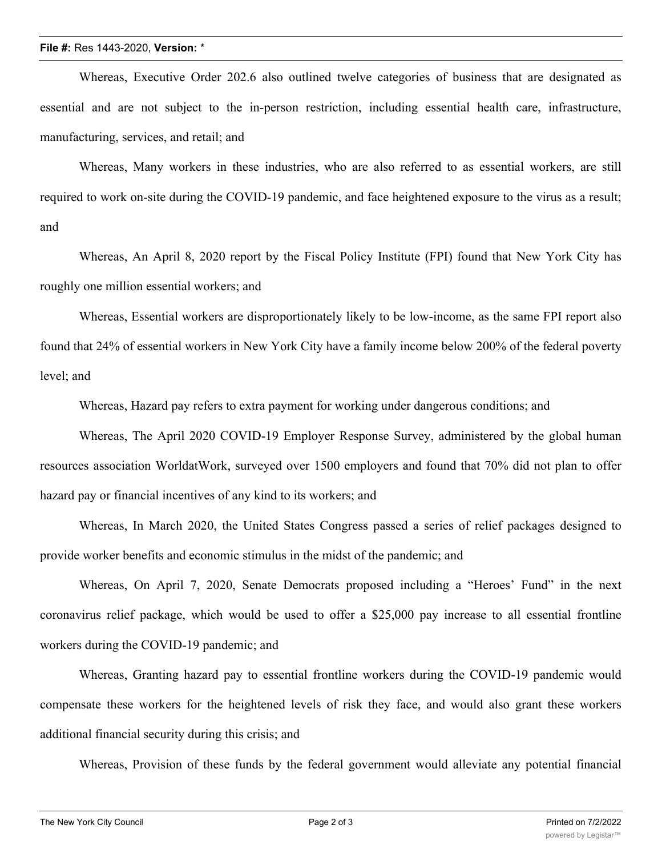## **File #:** Res 1443-2020, **Version:** \*

Whereas, Executive Order 202.6 also outlined twelve categories of business that are designated as essential and are not subject to the in-person restriction, including essential health care, infrastructure, manufacturing, services, and retail; and

Whereas, Many workers in these industries, who are also referred to as essential workers, are still required to work on-site during the COVID-19 pandemic, and face heightened exposure to the virus as a result; and

Whereas, An April 8, 2020 report by the Fiscal Policy Institute (FPI) found that New York City has roughly one million essential workers; and

Whereas, Essential workers are disproportionately likely to be low-income, as the same FPI report also found that 24% of essential workers in New York City have a family income below 200% of the federal poverty level; and

Whereas, Hazard pay refers to extra payment for working under dangerous conditions; and

Whereas, The April 2020 COVID-19 Employer Response Survey, administered by the global human resources association WorldatWork, surveyed over 1500 employers and found that 70% did not plan to offer hazard pay or financial incentives of any kind to its workers; and

Whereas, In March 2020, the United States Congress passed a series of relief packages designed to provide worker benefits and economic stimulus in the midst of the pandemic; and

Whereas, On April 7, 2020, Senate Democrats proposed including a "Heroes' Fund" in the next coronavirus relief package, which would be used to offer a \$25,000 pay increase to all essential frontline workers during the COVID-19 pandemic; and

Whereas, Granting hazard pay to essential frontline workers during the COVID-19 pandemic would compensate these workers for the heightened levels of risk they face, and would also grant these workers additional financial security during this crisis; and

Whereas, Provision of these funds by the federal government would alleviate any potential financial